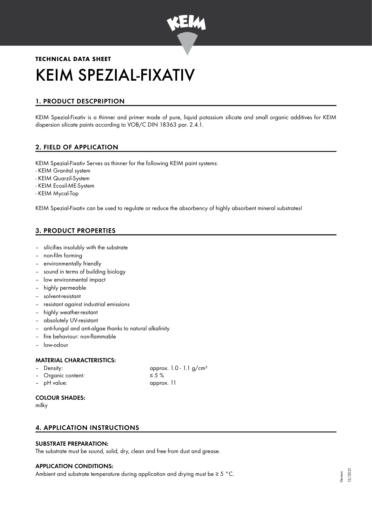

# **TECHNICAL DATA SHEET** KEIM SPEZIAL-FIXATIV

# 1. PRODUCT DESCPRIPTION

KEIM Spezial-Fixativ is a thinner and primer made of pure, liquid potassium silicate and small organic additives for KEIM dispersion silicate paints according to VOB/C DIN 18363 par. 2.4.1.

# 2. FIELD OF APPLICATION

KEIM Spezial-Fixativ Serves as thinner for the following KEIM paint systems:

- KEIM Granital system
- KEIM Quarzil-System
- KEIM Ecosil-ME-System
- KEIM Mycal-Top

KEIM Spezial-Fixativ can be used to regulate or reduce the absorbency of highly absorbent mineral substrates!

## 3. PRODUCT PROPERTIES

- silicifies insolubly with the substrate
- non-film forming
- environmentally friendly
- sound in terms of building biology
- low environmental impact
- highly permeable
- solvent-resistant
- resistant against industrial emissions
- highly weather-resitant
- absolutely UV-resistant
- anti-fungal and anti-algae thanks to natural alkalinity
- fire behaviour: non-flammable
- low-odour

#### MATERIAL CHARACTERISTICS:

- 
- Organic content: ≤ 5 %
- pH value: approx. 11

Density:  $\qquad \qquad \text{approx. 1.0 - 1.1 g/cm<sup>3</sup>}$ 

#### COLOUR SHADES:

milky

### 4. APPLICATION INSTRUCTIONS

#### SUBSTRATE PREPARATION:

The substrate must be sound, solid, dry, clean and free from dust and grease.

#### APPLICATION CONDITIONS:

Ambient and substrate temperature during application and drying must be ≥ 5 °C.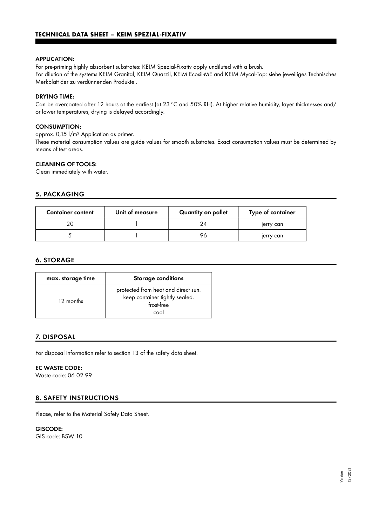#### APPLICATION:

For pre-priming highly absorbent substrates: KEIM Spezial-Fixativ apply undiluted with a brush. For dilution of the systems KEIM Granital, KEIM Quarzil, KEIM Ecosil-ME and KEIM Mycal-Top: siehe jeweiliges Technisches Merkblatt der zu verdünnenden Produkte .

#### DRYING TIME:

Can be overcoated after 12 hours at the earliest (at 23°C and 50% RH). At higher relative humidity, layer thicknesses and/ or lower temperatures, drying is delayed accordingly.

#### CONSUMPTION:

approx. 0,15 l/m² Application as primer.

These material consumption values are guide values for smooth substrates. Exact consumption values must be determined by means of test areas.

#### CLEANING OF TOOLS:

Clean immediately with water.

#### 5. PACKAGING

| <b>Container content</b> | Unit of measure | Quantity on pallet | Type of container |
|--------------------------|-----------------|--------------------|-------------------|
|                          |                 | 24                 | jerry can         |
|                          |                 | 76                 | jerry can         |

#### 6. STORAGE

| max. storage time | <b>Storage conditions</b>                                                                   |  |
|-------------------|---------------------------------------------------------------------------------------------|--|
| 12 months         | protected from heat and direct sun.<br>keep container tightly sealed.<br>frost-free<br>cool |  |

#### 7. DISPOSAL

For disposal information refer to section 13 of the safety data sheet.

#### EC WASTE CODE:

Waste code: 06 02 99

#### 8. SAFETY INSTRUCTIONS

Please, refer to the Material Safety Data Sheet.

# GISCODE:

GIS code: BSW 10